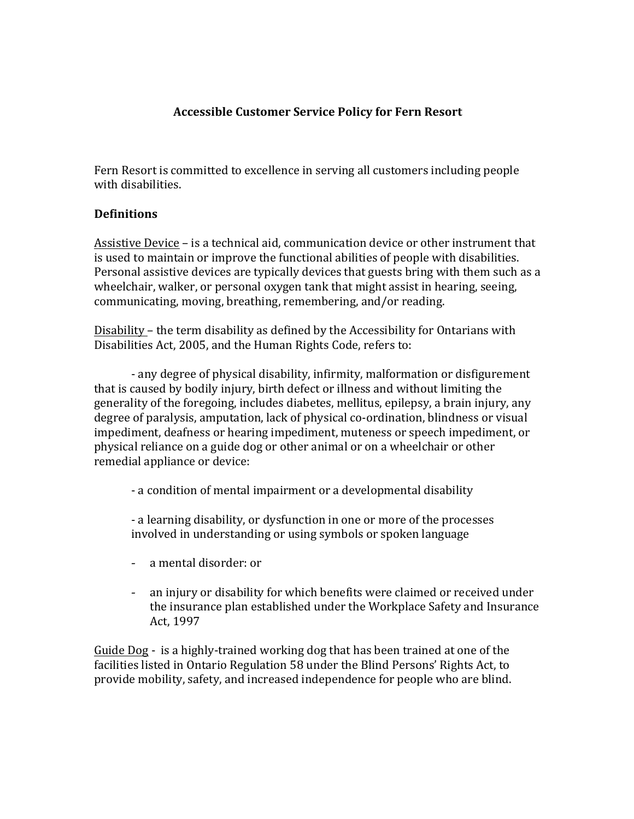# **Accessible Customer Service Policy for Fern Resort**

Fern Resort is committed to excellence in serving all customers including people with disabilities.

### **Definitions**

Assistive Device – is a technical aid, communication device or other instrument that is used to maintain or improve the functional abilities of people with disabilities. Personal assistive devices are typically devices that guests bring with them such as a wheelchair, walker, or personal oxygen tank that might assist in hearing, seeing, communicating, moving, breathing, remembering, and/or reading.

Disability – the term disability as defined by the Accessibility for Ontarians with Disabilities Act, 2005, and the Human Rights Code, refers to:

- any degree of physical disability, infirmity, malformation or disfigurement that is caused by bodily injury, birth defect or illness and without limiting the generality of the foregoing, includes diabetes, mellitus, epilepsy, a brain injury, any degree of paralysis, amputation, lack of physical co-ordination, blindness or visual impediment, deafness or hearing impediment, muteness or speech impediment, or physical reliance on a guide dog or other animal or on a wheelchair or other remedial appliance or device:

- a condition of mental impairment or a developmental disability

- a learning disability, or dysfunction in one or more of the processes involved in understanding or using symbols or spoken language

- a mental disorder: or
- an injury or disability for which benefits were claimed or received under the insurance plan established under the Workplace Safety and Insurance Act, 1997

Guide  $\log$  - is a highly-trained working dog that has been trained at one of the facilities listed in Ontario Regulation 58 under the Blind Persons' Rights Act, to provide mobility, safety, and increased independence for people who are blind.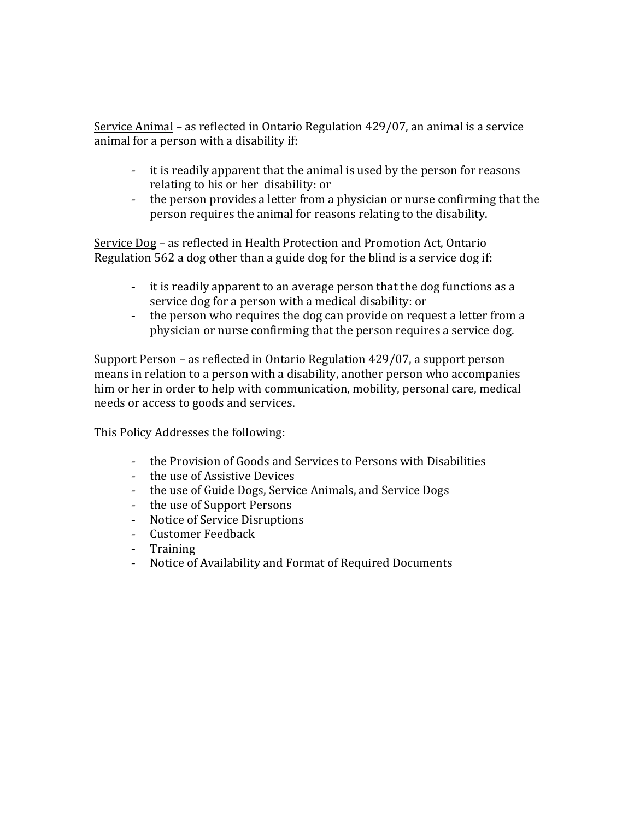Service Animal – as reflected in Ontario Regulation  $429/07$ , an animal is a service animal for a person with a disability if:

- it is readily apparent that the animal is used by the person for reasons relating to his or her disability: or
- the person provides a letter from a physician or nurse confirming that the person requires the animal for reasons relating to the disability.

Service Dog – as reflected in Health Protection and Promotion Act, Ontario Regulation  $562$  a dog other than a guide dog for the blind is a service dog if:

- it is readily apparent to an average person that the dog functions as a service dog for a person with a medical disability: or
- the person who requires the dog can provide on request a letter from a physician or nurse confirming that the person requires a service dog.

Support Person – as reflected in Ontario Regulation 429/07, a support person means in relation to a person with a disability, another person who accompanies him or her in order to help with communication, mobility, personal care, medical needs or access to goods and services.

This Policy Addresses the following:

- the Provision of Goods and Services to Persons with Disabilities
- the use of Assistive Devices
- the use of Guide Dogs, Service Animals, and Service Dogs
- the use of Support Persons
- Notice of Service Disruptions
- Customer Feedback
- Training
- Notice of Availability and Format of Required Documents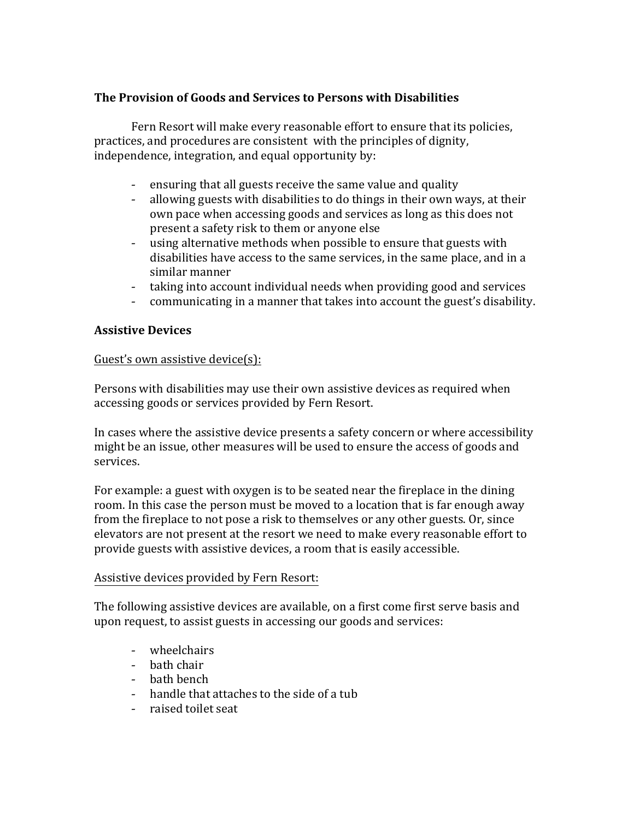# **The Provision of Goods and Services to Persons with Disabilities**

Fern Resort will make every reasonable effort to ensure that its policies, practices, and procedures are consistent with the principles of dignity, independence, integration, and equal opportunity by:

- ensuring that all guests receive the same value and quality
- allowing guests with disabilities to do things in their own ways, at their own pace when accessing goods and services as long as this does not present a safety risk to them or anyone else
- using alternative methods when possible to ensure that guests with disabilities have access to the same services, in the same place, and in a similar manner
- taking into account individual needs when providing good and services
- communicating in a manner that takes into account the guest's disability.

## **Assistive Devices**

#### Guest's own assistive device $(s)$ :

Persons with disabilities may use their own assistive devices as required when accessing goods or services provided by Fern Resort.

In cases where the assistive device presents a safety concern or where accessibility might be an issue, other measures will be used to ensure the access of goods and services.

For example: a guest with oxygen is to be seated near the fireplace in the dining room. In this case the person must be moved to a location that is far enough away from the fireplace to not pose a risk to themselves or any other guests. Or, since elevators are not present at the resort we need to make every reasonable effort to provide guests with assistive devices, a room that is easily accessible.

### Assistive devices provided by Fern Resort:

The following assistive devices are available, on a first come first serve basis and upon request, to assist guests in accessing our goods and services:

- wheelchairs
- bath chair
- hath hench
- handle that attaches to the side of a tub
- raised toilet seat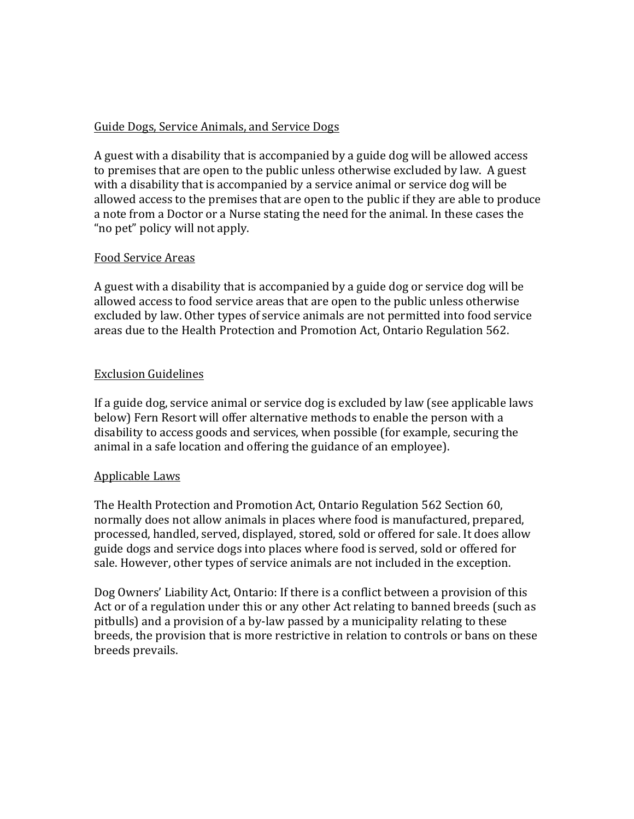### Guide Dogs, Service Animals, and Service Dogs

A guest with a disability that is accompanied by a guide dog will be allowed access to premises that are open to the public unless otherwise excluded by law. A guest with a disability that is accompanied by a service animal or service dog will be allowed access to the premises that are open to the public if they are able to produce a note from a Doctor or a Nurse stating the need for the animal. In these cases the "no pet" policy will not apply.

### Food Service Areas

A guest with a disability that is accompanied by a guide dog or service dog will be allowed access to food service areas that are open to the public unless otherwise excluded by law. Other types of service animals are not permitted into food service areas due to the Health Protection and Promotion Act, Ontario Regulation 562.

### **Exclusion Guidelines**

If a guide dog, service animal or service dog is excluded by law (see applicable laws below) Fern Resort will offer alternative methods to enable the person with a disability to access goods and services, when possible (for example, securing the animal in a safe location and offering the guidance of an employee).

### Applicable Laws

The Health Protection and Promotion Act, Ontario Regulation 562 Section 60, normally does not allow animals in places where food is manufactured, prepared, processed, handled, served, displayed, stored, sold or offered for sale. It does allow guide dogs and service dogs into places where food is served, sold or offered for sale. However, other types of service animals are not included in the exception.

Dog Owners' Liability Act, Ontario: If there is a conflict between a provision of this Act or of a regulation under this or any other Act relating to banned breeds (such as pitbulls) and a provision of a by-law passed by a municipality relating to these breeds, the provision that is more restrictive in relation to controls or bans on these breeds prevails.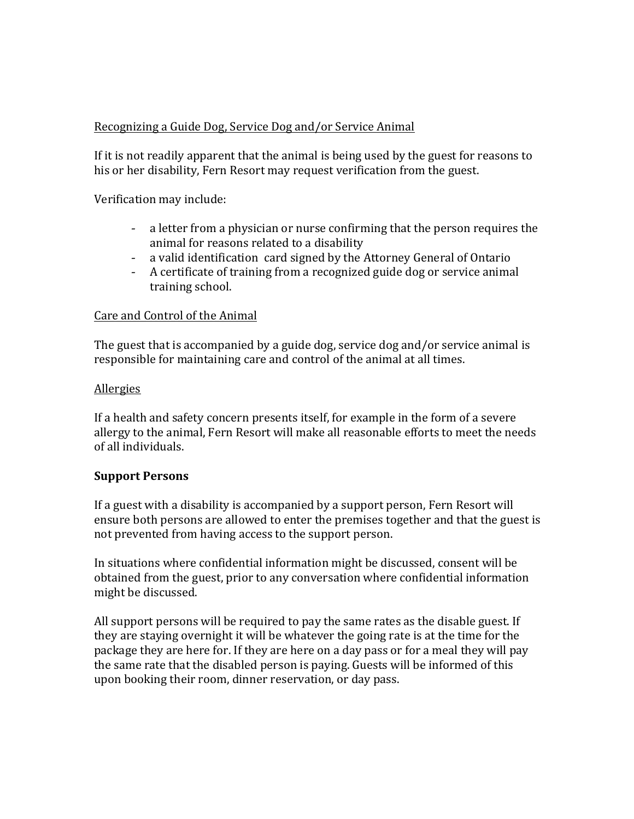# Recognizing a Guide Dog, Service Dog and/or Service Animal

If it is not readily apparent that the animal is being used by the guest for reasons to his or her disability, Fern Resort may request verification from the guest.

Verification may include:

- a letter from a physician or nurse confirming that the person requires the animal for reasons related to a disability
- a valid identification card signed by the Attorney General of Ontario
- A certificate of training from a recognized guide dog or service animal training school.

### Care and Control of the Animal

The guest that is accompanied by a guide dog, service  $\log$  and/or service animal is responsible for maintaining care and control of the animal at all times.

### Allergies

If a health and safety concern presents itself, for example in the form of a severe allergy to the animal, Fern Resort will make all reasonable efforts to meet the needs of all individuals.

### **Support Persons**

If a guest with a disability is accompanied by a support person, Fern Resort will ensure both persons are allowed to enter the premises together and that the guest is not prevented from having access to the support person.

In situations where confidential information might be discussed, consent will be obtained from the guest, prior to any conversation where confidential information might be discussed.

All support persons will be required to pay the same rates as the disable guest. If they are staying overnight it will be whatever the going rate is at the time for the package they are here for. If they are here on a day pass or for a meal they will pay the same rate that the disabled person is paying. Guests will be informed of this upon booking their room, dinner reservation, or day pass.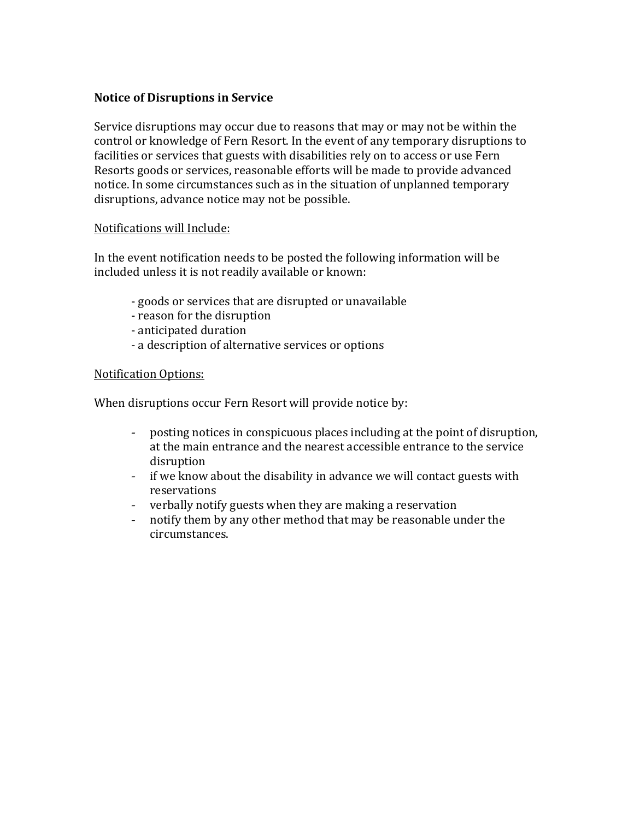## **Notice of Disruptions in Service**

Service disruptions may occur due to reasons that may or may not be within the control or knowledge of Fern Resort. In the event of any temporary disruptions to facilities or services that guests with disabilities rely on to access or use Fern Resorts goods or services, reasonable efforts will be made to provide advanced notice. In some circumstances such as in the situation of unplanned temporary disruptions, advance notice may not be possible.

#### Notifications will Include:

In the event notification needs to be posted the following information will be included unless it is not readily available or known:

- goods or services that are disrupted or unavailable
- reason for the disruption
- anticipated duration
- a description of alternative services or options

### Notification Options:

When disruptions occur Fern Resort will provide notice by:

- posting notices in conspicuous places including at the point of disruption, at the main entrance and the nearest accessible entrance to the service disruption
- if we know about the disability in advance we will contact guests with reservations
- verbally notify guests when they are making a reservation
- notify them by any other method that may be reasonable under the circumstances.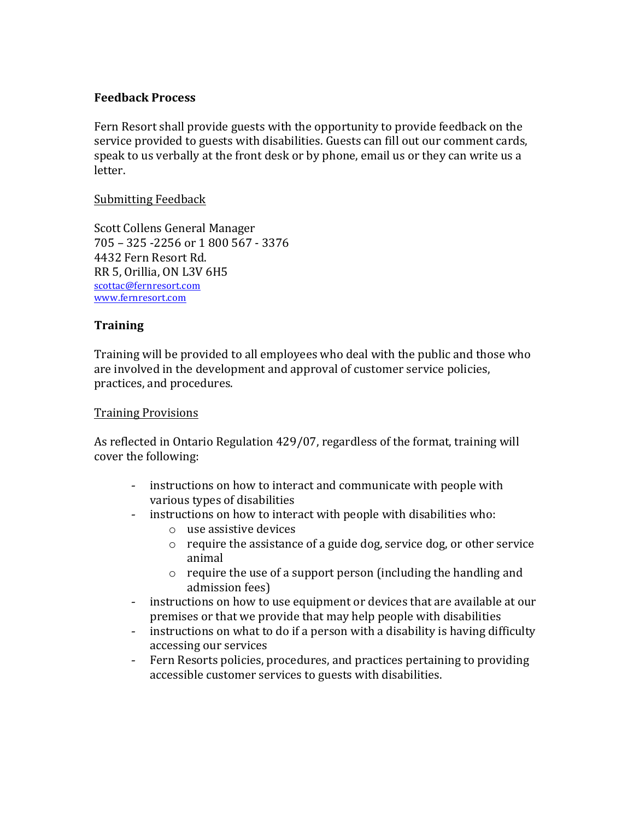### **Feedback Process**

Fern Resort shall provide guests with the opportunity to provide feedback on the service provided to guests with disabilities. Guests can fill out our comment cards, speak to us verbally at the front desk or by phone, email us or they can write us a letter.

#### Submitting Feedback

Scott Collens General Manager 705 – 325 -2256 or 1 800 567 - 3376 4432 Fern Resort Rd. RR 5, Orillia, ON L3V 6H5 scottac@fernresort.com www.fernresort.com

### **Training**

Training will be provided to all employees who deal with the public and those who are involved in the development and approval of customer service policies, practices, and procedures.

#### **Training Provisions**

As reflected in Ontario Regulation 429/07, regardless of the format, training will cover the following:

- instructions on how to interact and communicate with people with various types of disabilities
- instructions on how to interact with people with disabilities who:
	- $\circ$  use assistive devices
	- $\circ$  require the assistance of a guide dog, service dog, or other service animal
	- $\circ$  require the use of a support person (including the handling and admission fees)
- instructions on how to use equipment or devices that are available at our premises or that we provide that may help people with disabilities
- instructions on what to do if a person with a disability is having difficulty accessing our services
- Fern Resorts policies, procedures, and practices pertaining to providing accessible customer services to guests with disabilities.